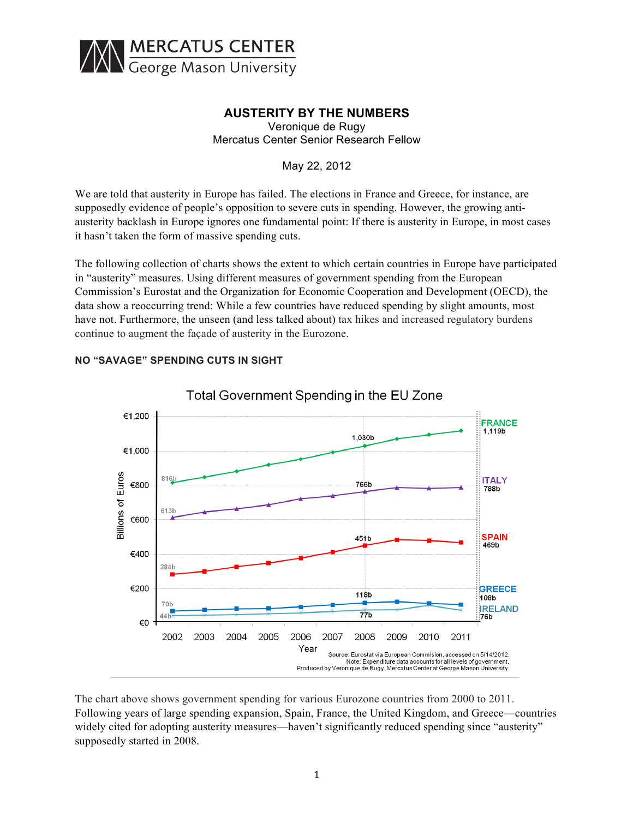

# **AUSTERITY BY THE NUMBERS**

Veronique de Rugy Mercatus Center Senior Research Fellow

May 22, 2012

We are told that austerity in Europe has failed. The elections in France and Greece, for instance, are supposedly evidence of people's opposition to severe cuts in spending. However, the growing antiausterity backlash in Europe ignores one fundamental point: If there is austerity in Europe, in most cases it hasn't taken the form of massive spending cuts.

The following collection of charts shows the extent to which certain countries in Europe have participated in "austerity" measures. Using different measures of government spending from the European Commission's Eurostat and the Organization for Economic Cooperation and Development (OECD), the data show a reoccurring trend: While a few countries have reduced spending by slight amounts, most have not. Furthermore, the unseen (and less talked about) tax hikes and increased regulatory burdens continue to augment the façade of austerity in the Eurozone.



## **NO "SAVAGE" SPENDING CUTS IN SIGHT**

The chart above shows government spending for various Eurozone countries from 2000 to 2011. Following years of large spending expansion, Spain, France, the United Kingdom, and Greece—countries widely cited for adopting austerity measures—haven't significantly reduced spending since "austerity" supposedly started in 2008.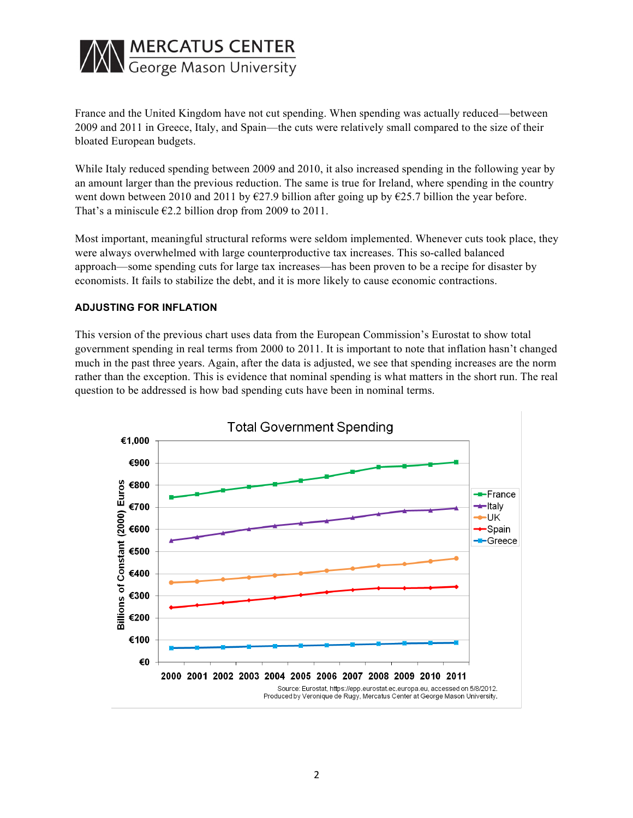

France and the United Kingdom have not cut spending. When spending was actually reduced—between 2009 and 2011 in Greece, Italy, and Spain—the cuts were relatively small compared to the size of their bloated European budgets.

While Italy reduced spending between 2009 and 2010, it also increased spending in the following year by an amount larger than the previous reduction. The same is true for Ireland, where spending in the country went down between 2010 and 2011 by  $\epsilon$ 27.9 billion after going up by  $\epsilon$ 25.7 billion the year before. That's a miniscule  $\epsilon$ 2.2 billion drop from 2009 to 2011.

Most important, meaningful structural reforms were seldom implemented. Whenever cuts took place, they were always overwhelmed with large counterproductive tax increases. This so-called balanced approach—some spending cuts for large tax increases—has been proven to be a recipe for disaster by economists. It fails to stabilize the debt, and it is more likely to cause economic contractions.

#### **ADJUSTING FOR INFLATION**

This version of the previous chart uses data from the European Commission's Eurostat to show total government spending in real terms from 2000 to 2011. It is important to note that inflation hasn't changed much in the past three years. Again, after the data is adjusted, we see that spending increases are the norm rather than the exception. This is evidence that nominal spending is what matters in the short run. The real question to be addressed is how bad spending cuts have been in nominal terms.

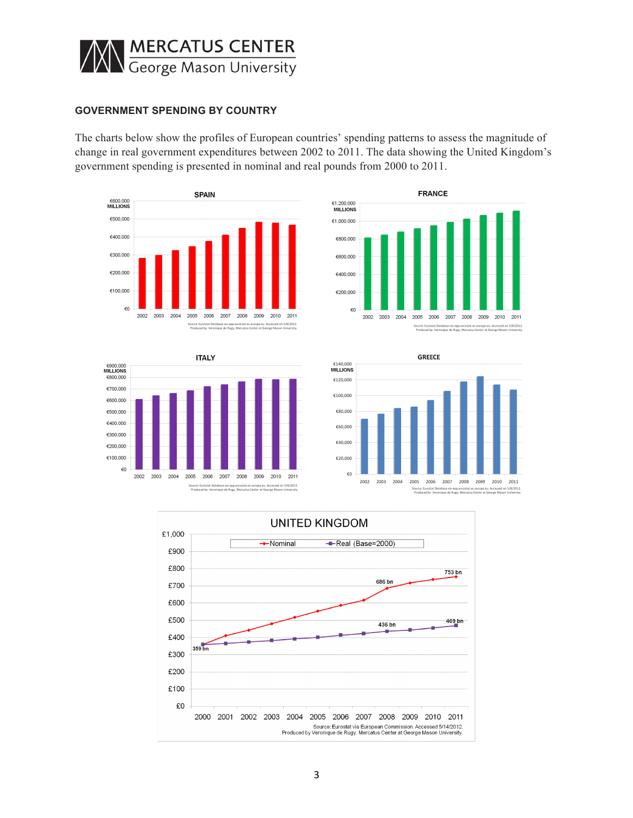

#### **GOVERNMENT SPENDING BY COUNTRY**

The charts below show the profiles of European countries' spending patterns to assess the magnitude of change in real government expenditures between 2002 to 2011. The data showing the United Kingdom's government spending is presented in nominal and real pounds from 2000 to 2011.









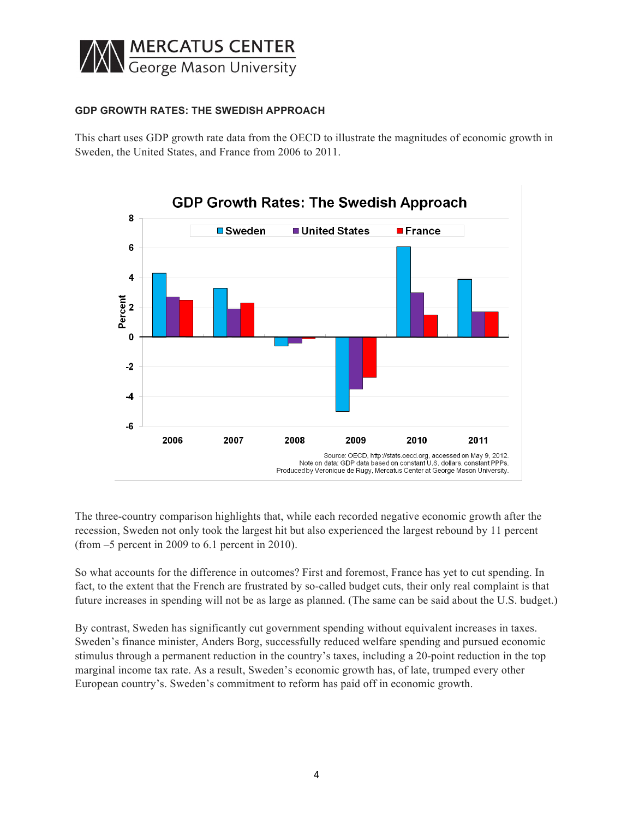

### **GDP GROWTH RATES: THE SWEDISH APPROACH**

This chart uses GDP growth rate data from the OECD to illustrate the magnitudes of economic growth in Sweden, the United States, and France from 2006 to 2011.



The three-country comparison highlights that, while each recorded negative economic growth after the recession, Sweden not only took the largest hit but also experienced the largest rebound by 11 percent (from –5 percent in 2009 to 6.1 percent in 2010).

So what accounts for the difference in outcomes? First and foremost, France has yet to cut spending. In fact, to the extent that the French are frustrated by so-called budget cuts, their only real complaint is that future increases in spending will not be as large as planned. (The same can be said about the U.S. budget.)

By contrast, Sweden has significantly cut government spending without equivalent increases in taxes. Sweden's finance minister, Anders Borg, successfully reduced welfare spending and pursued economic stimulus through a permanent reduction in the country's taxes, including a 20-point reduction in the top marginal income tax rate. As a result, Sweden's economic growth has, of late, trumped every other European country's. Sweden's commitment to reform has paid off in economic growth.